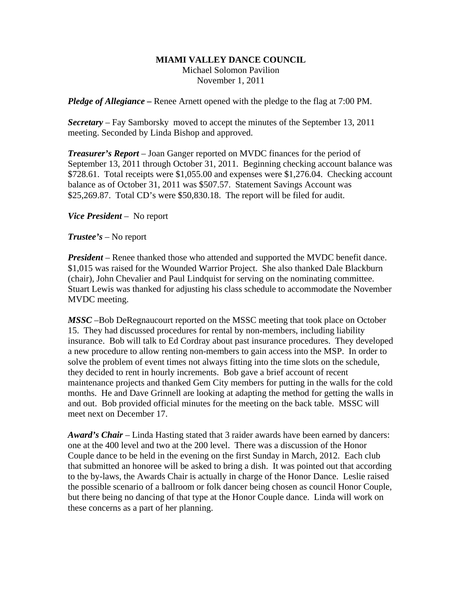## **MIAMI VALLEY DANCE COUNCIL**

Michael Solomon Pavilion November 1, 2011

*Pledge of Allegiance –* Renee Arnett opened with the pledge to the flag at 7:00 PM.

*Secretary –* Fay Samborsky moved to accept the minutes of the September 13, 2011 meeting. Seconded by Linda Bishop and approved.

*Treasurer's Report* – Joan Ganger reported on MVDC finances for the period of September 13, 2011 through October 31, 2011. Beginning checking account balance was \$728.61. Total receipts were \$1,055.00 and expenses were \$1,276.04. Checking account balance as of October 31, 2011 was \$507.57. Statement Savings Account was \$25,269.87. Total CD's were \$50,830.18. The report will be filed for audit.

*Vice President* – No report

*Trustee's* – No report

*President* – Renee thanked those who attended and supported the MVDC benefit dance. \$1,015 was raised for the Wounded Warrior Project. She also thanked Dale Blackburn (chair), John Chevalier and Paul Lindquist for serving on the nominating committee. Stuart Lewis was thanked for adjusting his class schedule to accommodate the November MVDC meeting.

*MSSC* –Bob DeRegnaucourt reported on the MSSC meeting that took place on October 15. They had discussed procedures for rental by non-members, including liability insurance. Bob will talk to Ed Cordray about past insurance procedures. They developed a new procedure to allow renting non-members to gain access into the MSP. In order to solve the problem of event times not always fitting into the time slots on the schedule, they decided to rent in hourly increments. Bob gave a brief account of recent maintenance projects and thanked Gem City members for putting in the walls for the cold months. He and Dave Grinnell are looking at adapting the method for getting the walls in and out. Bob provided official minutes for the meeting on the back table. MSSC will meet next on December 17.

*Award's Chair* – Linda Hasting stated that 3 raider awards have been earned by dancers: one at the 400 level and two at the 200 level. There was a discussion of the Honor Couple dance to be held in the evening on the first Sunday in March, 2012. Each club that submitted an honoree will be asked to bring a dish. It was pointed out that according to the by-laws, the Awards Chair is actually in charge of the Honor Dance. Leslie raised the possible scenario of a ballroom or folk dancer being chosen as council Honor Couple, but there being no dancing of that type at the Honor Couple dance. Linda will work on these concerns as a part of her planning.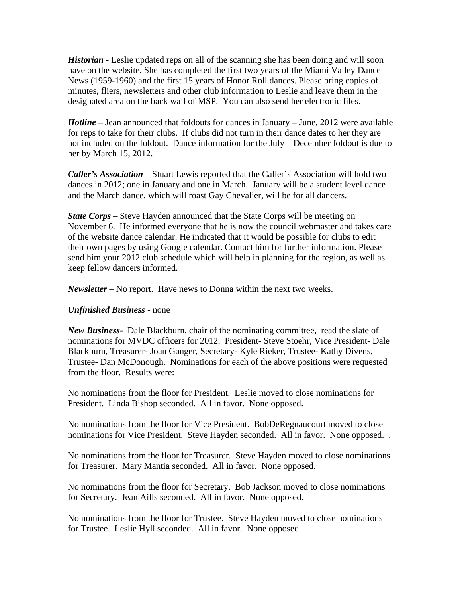*Historian* - Leslie updated reps on all of the scanning she has been doing and will soon have on the website. She has completed the first two years of the Miami Valley Dance News (1959-1960) and the first 15 years of Honor Roll dances. Please bring copies of minutes, fliers, newsletters and other club information to Leslie and leave them in the designated area on the back wall of MSP. You can also send her electronic files.

*Hotline* – Jean announced that foldouts for dances in January – June, 2012 were available for reps to take for their clubs. If clubs did not turn in their dance dates to her they are not included on the foldout. Dance information for the July – December foldout is due to her by March 15, 2012.

*Caller's Association* – Stuart Lewis reported that the Caller's Association will hold two dances in 2012; one in January and one in March. January will be a student level dance and the March dance, which will roast Gay Chevalier, will be for all dancers.

*State Corps* – Steve Hayden announced that the State Corps will be meeting on November 6. He informed everyone that he is now the council webmaster and takes care of the website dance calendar. He indicated that it would be possible for clubs to edit their own pages by using Google calendar. Contact him for further information. Please send him your 2012 club schedule which will help in planning for the region, as well as keep fellow dancers informed.

*Newsletter* – No report. Have news to Donna within the next two weeks.

## *Unfinished Business* - none

*New Business*- Dale Blackburn, chair of the nominating committee, read the slate of nominations for MVDC officers for 2012. President- Steve Stoehr, Vice President- Dale Blackburn, Treasurer- Joan Ganger, Secretary- Kyle Rieker, Trustee- Kathy Divens, Trustee- Dan McDonough. Nominations for each of the above positions were requested from the floor. Results were:

No nominations from the floor for President. Leslie moved to close nominations for President. Linda Bishop seconded. All in favor. None opposed.

No nominations from the floor for Vice President. BobDeRegnaucourt moved to close nominations for Vice President. Steve Hayden seconded. All in favor. None opposed. .

No nominations from the floor for Treasurer. Steve Hayden moved to close nominations for Treasurer. Mary Mantia seconded. All in favor. None opposed.

No nominations from the floor for Secretary. Bob Jackson moved to close nominations for Secretary. Jean Aills seconded. All in favor. None opposed.

No nominations from the floor for Trustee. Steve Hayden moved to close nominations for Trustee. Leslie Hyll seconded. All in favor. None opposed.